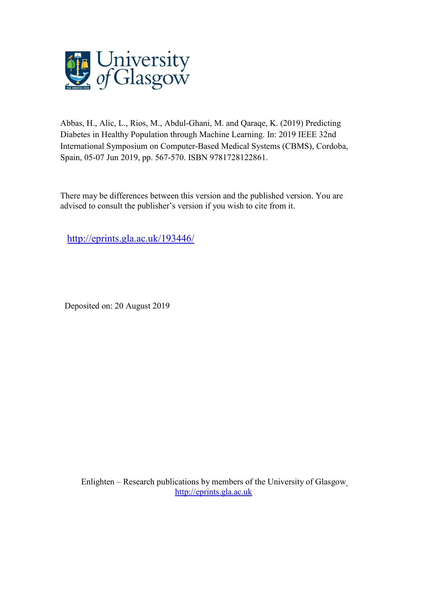

Abbas, H., Alic, L., Rios, M., Abdul-Ghani, M. and Qaraqe, K. (2019) Predicting Diabetes in Healthy Population through Machine Learning. In: 2019 IEEE 32nd International Symposium on Computer-Based Medical Systems (CBMS), Cordoba, Spain, 05-07 Jun 2019, pp. 567-570. ISBN 9781728122861.

There may be differences between this version and the published version. You are advised to consult the publisher's version if you wish to cite from it.

http://eprints.gla.ac.uk/193446/

Deposited on: 20 August 2019

Enlighten – Research publications by members of the University of Glasgow http://eprints.gla.ac.uk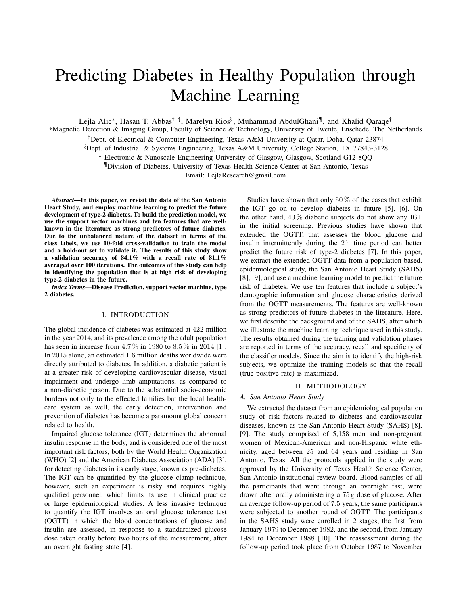# Predicting Diabetes in Healthy Population through Machine Learning

Lejla Alic\*, Hasan T. Abbas<sup>† ‡</sup>, Marelyn Rios<sup>§</sup>, Muhammad AbdulGhani¶, and Khalid Qaraqe<sup>†</sup>

∗ Magnetic Detection & Imaging Group, Faculty of Science & Technology, University of Twente, Enschede, The Netherlands

†Dept. of Electrical & Computer Engineering, Texas A&M University at Qatar, Doha, Qatar 23874

 $\S$ Dept. of Industrial & Systems Engineering, Texas A&M University, College Station, TX 77843-3128

‡ Electronic & Nanoscale Engineering University of Glasgow, Glasgow, Scotland G12 8QQ

¶Division of Diabetes, University of Texas Health Science Center at San Antonio, Texas

Email: LejlaResearch@gmail.com

*Abstract*—In this paper, we revisit the data of the San Antonio Heart Study, and employ machine learning to predict the future development of type-2 diabetes. To build the prediction model, we use the support vector machines and ten features that are wellknown in the literature as strong predictors of future diabetes. Due to the unbalanced nature of the dataset in terms of the class labels, we use 10-fold cross-validation to train the model and a hold-out set to validate it. The results of this study show a validation accuracy of 84.1% with a recall rate of 81.1% averaged over 100 iterations. The outcomes of this study can help in identifying the population that is at high risk of developing type-2 diabetes in the future.

*Index Terms*—Disease Prediction, support vector machine, type 2 diabetes.

## I. INTRODUCTION

The global incidence of diabetes was estimated at 422 million in the year 2014, and its prevalence among the adult population has seen in increase from  $4.7\%$  in 1980 to  $8.5\%$  in 2014 [1]. In 2015 alone, an estimated 1.6 million deaths worldwide were directly attributed to diabetes. In addition, a diabetic patient is at a greater risk of developing cardiovascular disease, visual impairment and undergo limb amputations, as compared to a non-diabetic person. Due to the substantial socio-economic burdens not only to the effected families but the local healthcare system as well, the early detection, intervention and prevention of diabetes has become a paramount global concern related to health.

Impaired glucose tolerance (IGT) determines the abnormal insulin response in the body, and is considered one of the most important risk factors, both by the World Health Organization (WHO) [2] and the American Diabetes Association (ADA) [3], for detecting diabetes in its early stage, known as pre-diabetes. The IGT can be quantified by the glucose clamp technique, however, such an experiment is risky and requires highly qualified personnel, which limits its use in clinical practice or large epidemiological studies. A less invasive technique to quantify the IGT involves an oral glucose tolerance test (OGTT) in which the blood concentrations of glucose and insulin are assessed, in response to a standardized glucose dose taken orally before two hours of the measurement, after an overnight fasting state [4].

Studies have shown that only 50  $\%$  of the cases that exhibit the IGT go on to develop diabetes in future [5], [6]. On the other hand,  $40\%$  diabetic subjects do not show any IGT in the initial screening. Previous studies have shown that extended the OGTT, that assesses the blood glucose and insulin intermittently during the 2 h time period can better predict the future risk of type-2 diabetes [7]. In this paper, we extract the extended OGTT data from a population-based, epidemiological study, the San Antonio Heart Study (SAHS) [8], [9], and use a machine learning model to predict the future risk of diabetes. We use ten features that include a subject's demographic information and glucose characteristics derived from the OGTT measurements. The features are well-known as strong predictors of future diabetes in the literature. Here, we first describe the background and of the SAHS, after which we illustrate the machine learning technique used in this study. The results obtained during the training and validation phases are reported in terms of the accuracy, recall and specificity of the classifier models. Since the aim is to identify the high-risk subjects, we optimize the training models so that the recall (true positive rate) is maximized.

## II. METHODOLOGY

#### *A. San Antonio Heart Study*

We extracted the dataset from an epidemiological population study of risk factors related to diabetes and cardiovascular diseases, known as the San Antonio Heart Study (SAHS) [8], [9]. The study comprised of 5,158 men and non-pregnant women of Mexican-American and non-Hispanic white ethnicity, aged between 25 and 64 years and residing in San Antonio, Texas. All the protocols applied in the study were approved by the University of Texas Health Science Center, San Antonio institutional review board. Blood samples of all the participants that went through an overnight fast, were drawn after orally administering a 75 g dose of glucose. After an average follow-up period of 7.5 years, the same participants were subjected to another round of OGTT. The participants in the SAHS study were enrolled in 2 stages, the first from January 1979 to December 1982, and the second, from January 1984 to December 1988 [10]. The reassessment during the follow-up period took place from October 1987 to November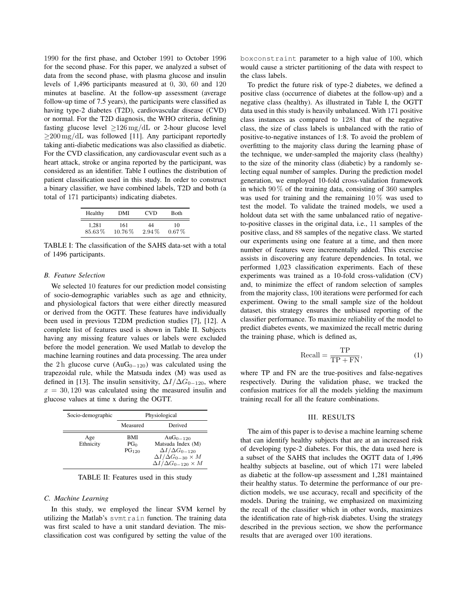1990 for the first phase, and October 1991 to October 1996 for the second phase. For this paper, we analyzed a subset of data from the second phase, with plasma glucose and insulin levels of 1,496 participants measured at 0, 30, 60 and 120 minutes at baseline. At the follow-up assessment (average follow-up time of 7.5 years), the participants were classified as having type-2 diabetes (T2D), cardiovascular disease (CVD) or normal. For the T2D diagnosis, the WHO criteria, defining fasting glucose level  $\geq 126 \,\text{mg/dL}$  or 2-hour glucose level  $\geq$ 200 mg/dL was followed [11]. Any participant reportedly taking anti-diabetic medications was also classified as diabetic. For the CVD classification, any cardiovascular event such as a heart attack, stroke or angina reported by the participant, was considered as an identifier. Table I outlines the distribution of patient classification used in this study. In order to construct a binary classifier, we have combined labels, T2D and both (a total of 171 participants) indicating diabetes.

| Healthy | DMI    | <b>CVD</b> | Both     |
|---------|--------|------------|----------|
| 1.281   | 161    | 44         | 10       |
| 85.63%  | 10.76% | $2.94\%$   | $0.67\%$ |

TABLE I: The classification of the SAHS data-set with a total of 1496 participants.

#### *B. Feature Selection*

We selected 10 features for our prediction model consisting of socio-demographic variables such as age and ethnicity, and physiological factors that were either directly measured or derived from the OGTT. These features have individually been used in previous T2DM prediction studies [7], [12]. A complete list of features used is shown in Table II. Subjects having any missing feature values or labels were excluded before the model generation. We used Matlab to develop the machine learning routines and data processing. The area under the 2 h glucose curve (AuG<sub>0−120</sub>) was calculated using the trapezoidal rule, while the Matsuda index (M) was used as defined in [13]. The insulin sensitivity,  $\Delta I/\Delta G_{0-120}$ , where  $x = 30, 120$  was calculated using the measured insulin and glucose values at time x during the OGTT.

| Socio-demographic | Physiological                               |                                                                                                                                                   |  |
|-------------------|---------------------------------------------|---------------------------------------------------------------------------------------------------------------------------------------------------|--|
|                   | Measured                                    | Derived                                                                                                                                           |  |
| Age<br>Ethnicity  | BMI<br>PG <sub>0</sub><br>PG <sub>120</sub> | Au $G_{0-120}$<br>Matsuda Index (M)<br>$\Delta I/\Delta G_{0-120}$<br>$\Delta I/\Delta G_{0-30} \times M$<br>$\Delta I/\Delta G_{0-120} \times M$ |  |

TABLE II: Features used in this study

#### *C. Machine Learning*

In this study, we employed the linear SVM kernel by utilizing the Matlab's svmtrain function. The training data was first scaled to have a unit standard deviation. The misclassification cost was configured by setting the value of the boxconstraint parameter to a high value of 100, which would cause a stricter partitioning of the data with respect to the class labels.

To predict the future risk of type-2 diabetes, we defined a positive class (occurrence of diabetes at the follow-up) and a negative class (healthy). As illustrated in Table I, the OGTT data used in this study is heavily unbalanced. With 171 positive class instances as compared to 1281 that of the negative class, the size of class labels is unbalanced with the ratio of positive-to-negative instances of 1:8. To avoid the problem of overfitting to the majority class during the learning phase of the technique, we under-sampled the majority class (healthy) to the size of the minority class (diabetic) by a randomly selecting equal number of samples. During the prediction model generation, we employed 10-fold cross-validation framework in which  $90\%$  of the training data, consisting of  $360$  samples was used for training and the remaining 10 % was used to test the model. To validate the trained models, we used a holdout data set with the same unbalanced ratio of negativeto-positive classes in the original data, i.e., 11 samples of the positive class, and 88 samples of the negative class. We started our experiments using one feature at a time, and then more number of features were incrementally added. This exercise assists in discovering any feature dependencies. In total, we performed 1,023 classification experiments. Each of these experiments was trained as a 10-fold cross-validation (CV) and, to minimize the effect of random selection of samples from the majority class, 100 iterations were performed for each experiment. Owing to the small sample size of the holdout dataset, this strategy ensures the unbiased reporting of the classifier performance. To maximize reliability of the model to predict diabetes events, we maximized the recall metric during the training phase, which is defined as,

$$
Recall = \frac{TP}{TP + FN},
$$
\n(1)

where TP and FN are the true-positives and false-negatives respectively. During the validation phase, we tracked the confusion matrices for all the models yielding the maximum training recall for all the feature combinations.

### III. RESULTS

The aim of this paper is to devise a machine learning scheme that can identify healthy subjects that are at an increased risk of developing type-2 diabetes. For this, the data used here is a subset of the SAHS that includes the OGTT data of 1,496 healthy subjects at baseline, out of which 171 were labeled as diabetic at the follow-up assessment and 1,281 maintained their healthy status. To determine the performance of our prediction models, we use accuracy, recall and specificity of the models. During the training, we emphasized on maximizing the recall of the classifier which in other words, maximizes the identification rate of high-risk diabetes. Using the strategy described in the previous section, we show the performance results that are averaged over 100 iterations.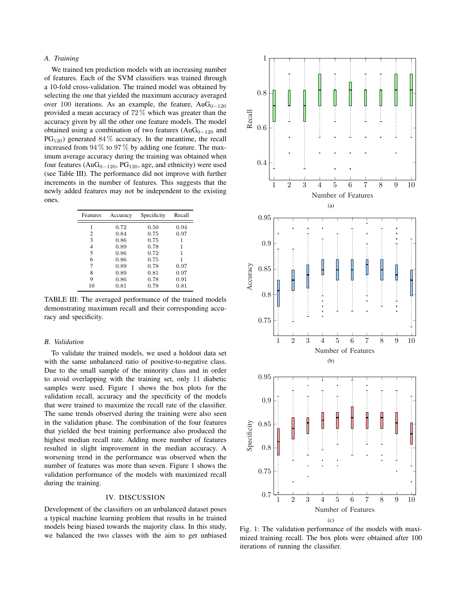## *A. Training*

We trained ten prediction models with an increasing number of features. Each of the SVM classifiers was trained through a 10-fold cross-validation. The trained model was obtained by selecting the one that yielded the maximum accuracy averaged over 100 iterations. As an example, the feature, Au $G_{0-120}$ provided a mean accuracy of 72 % which was greater than the accuracy given by all the other one feature models. The model obtained using a combination of two features ( $AuG_{0-120}$  and  $PG<sub>120</sub>$ ) generated 84 % accuracy. In the meantime, the recall increased from 94 % to 97 % by adding one feature. The maximum average accuracy during the training was obtained when four features ( $AuG_{0-120}$ , P $G_{120}$ , age, and ethnicity) were used (see Table III). The performance did not improve with further increments in the number of features. This suggests that the newly added features may not be independent to the existing ones.

| Features | Accuracy | Specificity | Recall |
|----------|----------|-------------|--------|
|          | 0.72     | 0.50        | 0.94   |
| 2        | 0.84     | 0.75        | 0.97   |
| 3        | 0.86     | 0.75        | 1      |
| 4        | 0.89     | 0.78        | 1      |
| 5        | 0.86     | 0.72        | 1      |
| 6        | 0.86     | 0.75        | 1      |
| 7        | 0.89     | 0.78        | 0.97   |
| 8        | 0.89     | 0.81        | 0.97   |
| 9        | 0.86     | 0.78        | 0.91   |
| 10       | 0.81     | 0.78        | 0.81   |

TABLE III: The averaged performance of the trained models demonstrating maximum recall and their corresponding accuracy and specificity.

#### *B. Validation*

To validate the trained models, we used a holdout data set with the same unbalanced ratio of positive-to-negative class. Due to the small sample of the minority class and in order to avoid overlapping with the training set, only 11 diabetic samples were used. Figure 1 shows the box plots for the validation recall, accuracy and the specificity of the models that were trained to maximize the recall rate of the classifier. The same trends observed during the training were also seen in the validation phase. The combination of the four features that yielded the best training performance also produced the highest median recall rate. Adding more number of features resulted in slight improvement in the median accuracy. A worsening trend in the performance was observed when the number of features was more than seven. Figure 1 shows the validation performance of the models with maximized recall during the training.

## IV. DISCUSSION

Development of the classifiers on an unbalanced dataset poses a typical machine learning problem that results in he trained models being biased towards the majority class. In this study, we balanced the two classes with the aim to get unbiased



Fig. 1: The validation performance of the models with maximized training recall. The box plots were obtained after 100 iterations of running the classifier.